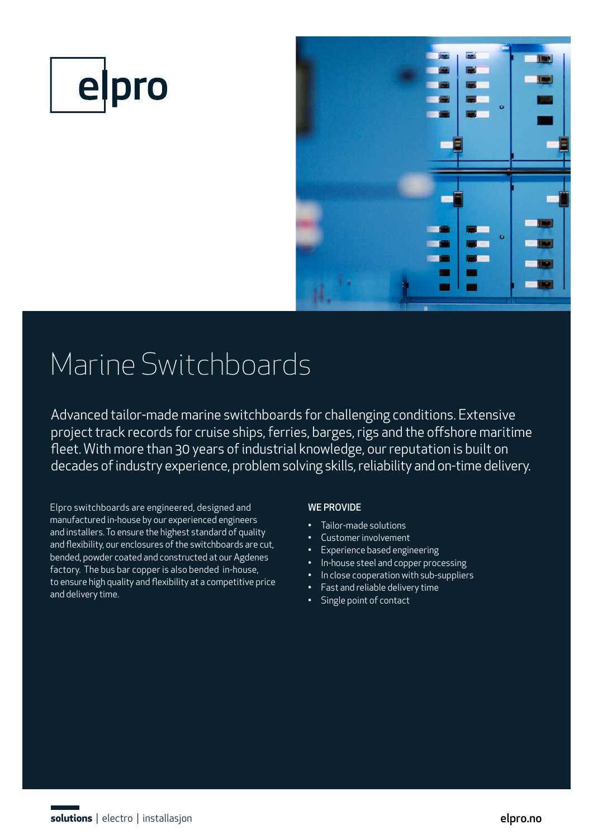



# Marine Switchboards

Advanced tailor-made marine switchboards for challenging conditions. Extensive project track records for cruise ships, ferries, barges, rigs and the offshore maritime fleet. With more than 30 years of industrial knowledge, our reputation is built on decades of industry experience, problem solving skills, reliability and on-time delivery.

Elpro switchboards are engineered, designed and manufactured in-house by our experienced engineers and installers. To ensure the highest standard of quality and flexibility, our enclosures of the switchboards are cut, bended, powder coated and constructed at our Agdenes factory. The bus bar copper is also bended in-house, to ensure high quality and flexibility at a competitive price and delivery time.

## WE PROVIDE

- Tailor-made solutions
- Customer involvement
- Experience based engineering
- In-house steel and copper processing
- In close cooperation with sub-suppliers
- Fast and reliable delivery time
- Single point of contact